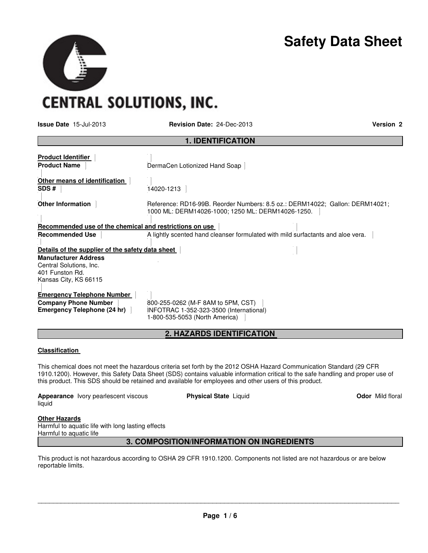# **Safety Data Sheet**

**CENTRAL SOLUTIONS, INC.** 

**Issue Date** 15-Jul-2013 **Revision Date:** 24-Dec-2013 **Version 2**

| <b>1. IDENTIFICATION</b>                                                                           |                                                                                                                                   |  |  |  |
|----------------------------------------------------------------------------------------------------|-----------------------------------------------------------------------------------------------------------------------------------|--|--|--|
| <b>Product Identifier</b><br><b>Product Name</b>                                                   | DermaCen Lotionized Hand Soap                                                                                                     |  |  |  |
| Other means of identification<br>SDS#                                                              | 14020-1213                                                                                                                        |  |  |  |
| <b>Other Information</b>                                                                           | Reference: RD16-99B. Reorder Numbers: 8.5 oz.: DERM14022; Gallon: DERM14021;<br>1000 ML: DERM14026-1000; 1250 ML: DERM14026-1250. |  |  |  |
| Recommended use of the chemical and restrictions on use                                            |                                                                                                                                   |  |  |  |
| <b>Recommended Use</b>                                                                             | A lightly scented hand cleanser formulated with mild surfactants and aloe vera.                                                   |  |  |  |
| Details of the supplier of the safety data sheet                                                   |                                                                                                                                   |  |  |  |
| <b>Manufacturer Address</b><br>Central Solutions, Inc.<br>401 Funston Rd.<br>Kansas City, KS 66115 |                                                                                                                                   |  |  |  |
| <b>Emergency Telephone Number</b><br><b>Company Phone Number</b><br>Emergency Telephone (24 hr)    | 800-255-0262 (M-F 8AM to 5PM, CST)<br>INFOTRAC 1-352-323-3500 (International)<br>1-800-535-5053 (North America)                   |  |  |  |

# **2. HAZARDS IDENTIFICATION**

#### **Classification**

This chemical does not meet the hazardous criteria set forth by the 2012 OSHA Hazard Communication Standard (29 CFR 1910.1200). However, this Safety Data Sheet (SDS) contains valuable information critical to the safe handling and proper use of this product. This SDS should be retained and available for employees and other users of this product.

**Appearance** Ivory pearlescent viscous liquid

**Physical State Liquid Contract Contract Contract Contract Contract Contract Contract Contract Contract Contract Contract Contract Contract Contract Contract Contract Contract Contract Contract Contract Contract Contract C** 

# **Other Hazards**

Harmful to aquatic life with long lasting effects Harmful to aquatic life

# **3. COMPOSITION/INFORMATION ON INGREDIENTS**

This product is not hazardous according to OSHA 29 CFR 1910.1200. Components not listed are not hazardous or are below reportable limits.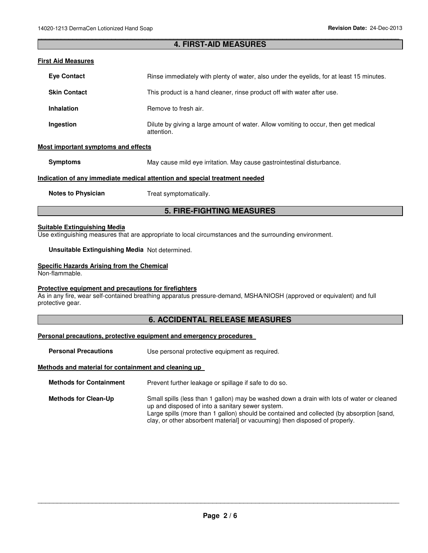#### \_\_\_\_\_\_\_\_\_\_\_\_\_\_\_\_\_\_\_\_\_\_\_\_\_\_\_\_\_\_\_\_\_\_\_\_\_\_\_\_\_\_\_\_\_\_\_\_\_\_\_\_\_\_\_\_\_\_\_\_\_\_\_\_\_\_\_\_\_\_\_\_\_\_\_\_\_\_\_\_\_\_\_\_\_\_\_\_\_\_\_\_\_ **4. FIRST-AID MEASURES**

# **First Aid Measures**

| <b>Eve Contact</b>  | Rinse immediately with plenty of water, also under the evelids, for at least 15 minutes.          |
|---------------------|---------------------------------------------------------------------------------------------------|
| <b>Skin Contact</b> | This product is a hand cleaner, rinse product off with water after use.                           |
| <b>Inhalation</b>   | Remove to fresh air.                                                                              |
| Ingestion           | Dilute by giving a large amount of water. Allow vomiting to occur, then get medical<br>attention. |

#### **Most important symptoms and effects**

**Symptoms May cause mild eye irritation. May cause gastrointestinal disturbance.** 

#### **Indication of any immediate medical attention and special treatment needed**

**Notes to Physician Treat symptomatically.** 

# **5. FIRE-FIGHTING MEASURES**

#### **Suitable Extinguishing Media**

Use extinguishing measures that are appropriate to local circumstances and the surrounding environment.

#### **Unsuitable Extinguishing Media** Not determined.

#### **Specific Hazards Arising from the Chemical**

Non-flammable.

# **Protective equipment and precautions for firefighters**

As in any fire, wear self-contained breathing apparatus pressure-demand, MSHA/NIOSH (approved or equivalent) and full protective gear.

# **6. ACCIDENTAL RELEASE MEASURES**

## **Personal precautions, protective equipment and emergency procedures**

**Personal Precautions Use personal protective equipment as required.** 

#### **Methods and material for containment and cleaning up**

**Methods for Containment** Prevent further leakage or spillage if safe to do so.

**Methods for Clean-Up** Small spills (less than 1 gallon) may be washed down a drain with lots of water or cleaned up and disposed of into a sanitary sewer system. Large spills (more than 1 gallon) should be contained and collected (by absorption [sand, clay, or other absorbent material] or vacuuming) then disposed of properly.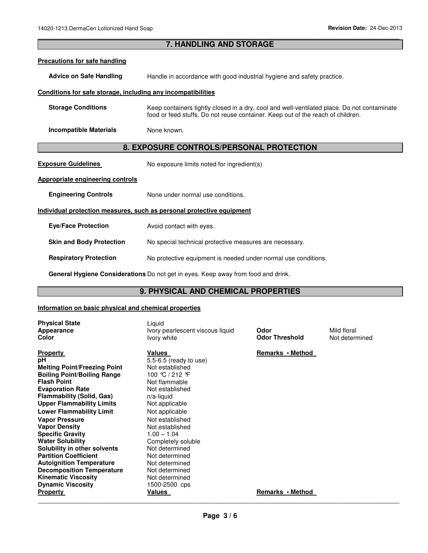| <b>7. HANDLING AND STORAGE</b>                                        |                                                                                                                                                                                |  |  |  |
|-----------------------------------------------------------------------|--------------------------------------------------------------------------------------------------------------------------------------------------------------------------------|--|--|--|
| <b>Precautions for safe handling</b>                                  |                                                                                                                                                                                |  |  |  |
| <b>Advice on Safe Handling</b>                                        | Handle in accordance with good industrial hygiene and safety practice.                                                                                                         |  |  |  |
| Conditions for safe storage, including any incompatibilities          |                                                                                                                                                                                |  |  |  |
| <b>Storage Conditions</b>                                             | Keep containers tightly closed in a dry, cool and well-ventilated place. Do not contaminate<br>food or feed stuffs. Do not reuse container. Keep out of the reach of children. |  |  |  |
| <b>Incompatible Materials</b>                                         | None known.                                                                                                                                                                    |  |  |  |
| 8. EXPOSURE CONTROLS/PERSONAL PROTECTION                              |                                                                                                                                                                                |  |  |  |
| <b>Exposure Guidelines</b>                                            | No exposure limits noted for ingredient(s)                                                                                                                                     |  |  |  |
| <b>Appropriate engineering controls</b>                               |                                                                                                                                                                                |  |  |  |
| <b>Engineering Controls</b>                                           | None under normal use conditions.                                                                                                                                              |  |  |  |
| Individual protection measures, such as personal protective equipment |                                                                                                                                                                                |  |  |  |
| <b>Eye/Face Protection</b>                                            | Avoid contact with eyes.                                                                                                                                                       |  |  |  |
| <b>Skin and Body Protection</b>                                       | No special technical protective measures are necessary.                                                                                                                        |  |  |  |
| <b>Respiratory Protection</b>                                         | No protective equipment is needed under normal use conditions.                                                                                                                 |  |  |  |
|                                                                       | General Hygiene Considerations Do not get in eyes. Keep away from food and drink.                                                                                              |  |  |  |

\_\_\_\_\_\_\_\_\_\_\_\_\_\_\_\_\_\_\_\_\_\_\_\_\_\_\_\_\_\_\_\_\_\_\_\_\_\_\_\_\_\_\_\_\_\_\_\_\_\_\_\_\_\_\_\_\_\_\_\_\_\_\_\_\_\_\_\_\_\_\_\_\_\_\_\_\_\_\_\_\_\_\_\_\_\_\_\_\_\_\_\_\_

# **9. PHYSICAL AND CHEMICAL PROPERTIES**

# **Information on basic physical and chemical properties**

| <b>Physical State</b><br>Appearance<br>Color                              | Liquid<br>Ivory pearlescent viscous liquid<br>Ivory white | Odor<br><b>Odor Threshold</b> | Mild floral<br>Not determined |
|---------------------------------------------------------------------------|-----------------------------------------------------------|-------------------------------|-------------------------------|
| Property<br>рH                                                            | Values<br>5.5-6.5 (ready to use)                          | Remarks • Method              |                               |
| <b>Melting Point/Freezing Point</b><br><b>Boiling Point/Boiling Range</b> | Not established<br>100 ℃ / 212 F                          |                               |                               |
| Flash Point<br><b>Evaporation Rate</b>                                    | Not flammable<br>Not established                          |                               |                               |
| Flammability (Solid, Gas)<br><b>Upper Flammability Limits</b>             | $n/a$ -liquid<br>Not applicable                           |                               |                               |
| <b>Lower Flammability Limit</b>                                           | Not applicable                                            |                               |                               |
| <b>Vapor Pressure</b><br>Vapor Density                                    | Not established<br>Not established                        |                               |                               |
| <b>Specific Gravity</b><br>Water Solubility                               | $1.00 - 1.04$<br>Completely soluble                       |                               |                               |
| Solubility in other solvents<br><b>Partition Coefficient</b>              | Not determined<br>Not determined                          |                               |                               |
| <b>Autoignition Temperature</b>                                           | Not determined                                            |                               |                               |
| <b>Decomposition Temperature</b><br><b>Kinematic Viscosity</b>            | Not determined<br>Not determined                          |                               |                               |
| <b>Dynamic Viscosity</b><br>Property                                      | 1500-2500 cps<br>Values                                   | Remarks • Method              |                               |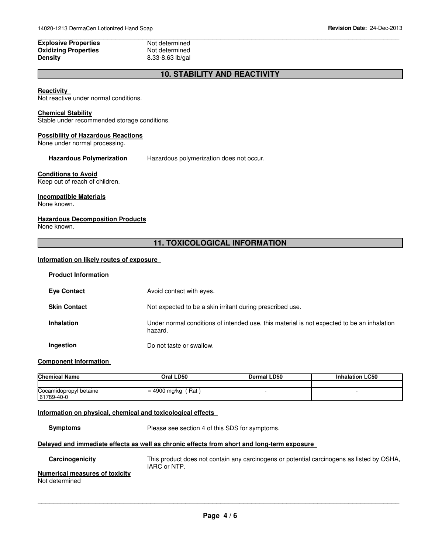| <b>Explosive Properties</b> | Not determined       |  |
|-----------------------------|----------------------|--|
| <b>Oxidizing Properties</b> | Not determined       |  |
| <b>Density</b>              | $8.33 - 8.63$ lb/gal |  |

# **10. STABILITY AND REACTIVITY**

## **Reactivity**

Not reactive under normal conditions.

#### **Chemical Stability**

Stable under recommended storage conditions.

### **Possibility of Hazardous Reactions**

None under normal processing.

**Hazardous Polymerization** Hazardous polymerization does not occur.

#### **Conditions to Avoid**

Keep out of reach of children.

# **Incompatible Materials**

None known.

# **Hazardous Decomposition Products**

None known.

# **11. TOXICOLOGICAL INFORMATION**

#### **Information on likely routes of exposure**

| <b>Product Information</b> |                                                                                                       |
|----------------------------|-------------------------------------------------------------------------------------------------------|
| <b>Eye Contact</b>         | Avoid contact with eyes.                                                                              |
| <b>Skin Contact</b>        | Not expected to be a skin irritant during prescribed use.                                             |
| <b>Inhalation</b>          | Under normal conditions of intended use, this material is not expected to be an inhalation<br>hazard. |
| Ingestion                  | Do not taste or swallow.                                                                              |

# **Component Information**

| <b>Chemical Name</b>                 | Oral LD50            | <b>Dermal LD50</b> | <b>Inhalation LC50</b> |
|--------------------------------------|----------------------|--------------------|------------------------|
|                                      |                      |                    |                        |
| Cocamidopropyl betaine<br>61789-40-0 | $= 4900$ mg/kg (Rat) |                    |                        |

#### **Information on physical, chemical and toxicological effects**

**Symptoms** Please see section 4 of this SDS for symptoms.

#### **Delayed and immediate effects as well as chronic effects from short and long-term exposure**

**Carcinogenicity** This product does not contain any carcinogens or potential carcinogens as listed by OSHA, IARC or NTP. **Numerical measures of toxicity** Not determined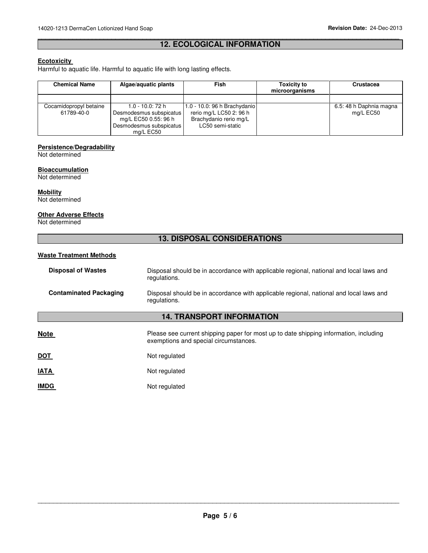## \_\_\_\_\_\_\_\_\_\_\_\_\_\_\_\_\_\_\_\_\_\_\_\_\_\_\_\_\_\_\_\_\_\_\_\_\_\_\_\_\_\_\_\_\_\_\_\_\_\_\_\_\_\_\_\_\_\_\_\_\_\_\_\_\_\_\_\_\_\_\_\_\_\_\_\_\_\_\_\_\_\_\_\_\_\_\_\_\_\_\_\_\_ **12. ECOLOGICAL INFORMATION**

# **Ecotoxicity**

Harmful to aquatic life. Harmful to aquatic life with long lasting effects.

| <b>Chemical Name</b>                 | Algae/aquatic plants                                                                                           | Fish                                                                                                  | <b>Toxicity to</b><br>microorganisms | <b>Crustacea</b>                     |
|--------------------------------------|----------------------------------------------------------------------------------------------------------------|-------------------------------------------------------------------------------------------------------|--------------------------------------|--------------------------------------|
|                                      |                                                                                                                |                                                                                                       |                                      |                                      |
| Cocamidopropyl betaine<br>61789-40-0 | $1.0 - 10.0$ : 72 h<br>Desmodesmus subspicatus<br>mg/L EC50 0.55: 96 h<br>Desmodesmus subspicatus<br>mg/L EC50 | 1.0 - 10.0: 96 h Brachydanio<br>rerio mg/L LC50 2: 96 h<br>Brachydanio rerio mg/L<br>LC50 semi-static |                                      | 6.5: 48 h Daphnia magna<br>mg/L EC50 |

#### **Persistence/Degradability**

Not determined

# **Bioaccumulation**

Not determined

# **Mobility**

Not determined

# **Other Adverse Effects**

Not determined

# **13. DISPOSAL CONSIDERATIONS**

# **Waste Treatment Methods**

| <b>Disposal of Wastes</b>        | Disposal should be in accordance with applicable regional, national and local laws and<br>regulations.                         |  |  |  |
|----------------------------------|--------------------------------------------------------------------------------------------------------------------------------|--|--|--|
| <b>Contaminated Packaging</b>    | Disposal should be in accordance with applicable regional, national and local laws and<br>regulations.                         |  |  |  |
| <b>14. TRANSPORT INFORMATION</b> |                                                                                                                                |  |  |  |
| <b>Note</b>                      | Please see current shipping paper for most up to date shipping information, including<br>exemptions and special circumstances. |  |  |  |
| <u>DOT</u>                       | Not regulated                                                                                                                  |  |  |  |
| <b>IATA</b>                      | Not regulated                                                                                                                  |  |  |  |
| <b>IMDG</b>                      | Not regulated                                                                                                                  |  |  |  |